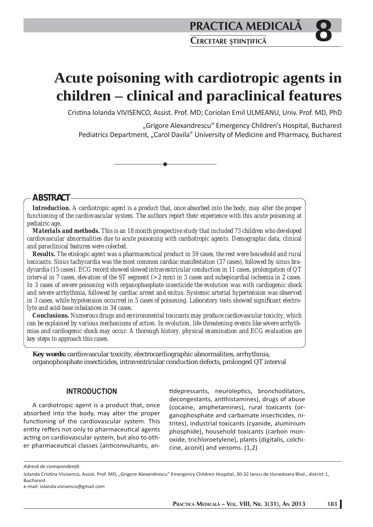# **Acute poisoning with cardiotropic agents in children – clinical and paraclinical features**

Cristina Iolanda VIVISENCO, Assist. Prof. MD; Coriolan Emil ULMEANU, Univ. Prof. MD, PhD

"Grigore Alexandrescu" Emergency Children's Hospital, Bucharest Pediatrics Department, "Carol Davila" University of Medicine and Pharmacy, Bucharest

## **ABSTRACT**

*Introduction. A cardiotropic agent is a product that, once absorbed into the body, may alter the proper functioning of the cardiovascular system. The authors report their experience with this acute poisoning at pediatric age.*

*Materials and methods. This is an 18 month prospective study that included 73 children who developed cardiovascular abnormalities due to acute poisoning with cardiotropic agents. Demographic data, clinical and paraclinical features were colected.*

*Results. The etiologic agent was a pharmaceutical product in 59 cases, the rest were household and rural toxicants. Sinus tachycardia was the most common cardiac manifestation (37 cases), followed by sinus bradycardia (15 cases). ECG record showed slowed intraventricular conduction in 11 cases, prolongation of QT interval in 7 cases, elevation of the ST segment (> 2 mm) in 3 cases and subepicardial ischemia in 2 cases. In 3 cases of severe poisoning with organophosphate insecticide the evolution was with cardiogenic shock and severe arrhythmia, followed by cardiac arrest and exitus. Systemic arterial hypertension was observed*  in 3 cases, while hypotension occurred in 5 cases of poisoning. Laboratory tests showed significant electro*lyte and acid-base inbalances in 34 cases.* 

*Conclusions. Numerous drugs and environmental toxicants may produce cardiovascular toxicity, which can be explained by various mechanisms of action. In evolution, life-threatening events like severe arrhythmias and cardiogenic shock may occur. A thorough history, physical examination and ECG evaluation are key steps to approach this cases.*

**Key words:** cardiovascular toxicity, electrocardiographic abnormalities, arrhythmia, organophosphate insecticides, intraventricular conduction defects, prolonged QT interval

## **INTRODUCTION**

A cardiotropic agent is a product that, once absorbed into the body, may alter the proper functioning of the cardiovascular system. This entity reffers not only to pharmaceutical agents acting on cardiovascular system, but also to other pharmaceutical classes (anticonvulsants, antidepressants, neuroleptics, bronchodilators, decongestants, antihistamines), drugs of abuse (cocaine, amphetamines), rural toxicants (organophosphate and carbamate insecticides, nitrites), industrial toxicants (cyanide, aluminium phosphide), household toxicants (carbon monoxide, trichloroetylene), plants (digitalis, colchicine, aconit) and venoms. (1,2)

*Adresă de corespondenţă:* 

Iolanda Cristina Vivisenco, Assist. Prof. MD, "Grigore Alexandrescu" Emergency Children Hospital, 30-32 Iancu de Hunedoara Blvd., district 1, Bucharest

e-mail: iolanda.vivisenco@gmail.com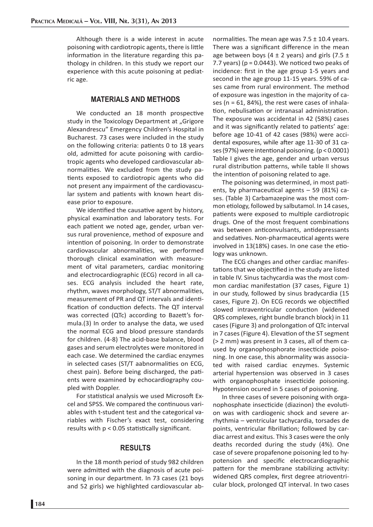Although there is a wide interest in acute poisoning with cardiotropic agents, there is little information in the literature regarding this pathology in children. In this study we report our experience with this acute poisoning at pediatric age.

#### **MATERIALS AND METHODS**

We conducted an 18 month prospective study in the Toxicology Department at "Grigore Alexandrescu" Emergency Children's Hospital in Bucharest. 73 cases were included in the study on the following criteria: patients 0 to 18 years old, admitted for acute poisoning with cardiotropic agents who developed cardiovascular abnormalities. We excluded from the study patients exposed to cardiotropic agents who did not present any impairment of the cardiovascular system and patients with known heart disease prior to exposure.

We identified the causative agent by history, physical examination and laboratory tests. For each patient we noted age, gender, urban versus rural provenience, method of exposure and intention of poisoning. In order to demonstrate cardiovascular abnormalities, we performed thorough clinical examination with measurement of vital parameters, cardiac monitoring and electrocardiographic (ECG) record in all cases. ECG analysis included the heart rate, rhythm, waves morphology, ST/T abnormalities, measurement of PR and QT intervals and identification of conduction defects. The QT interval was corrected (QTc) according to Bazett's formula.(3) In order to analyse the data, we used the normal ECG and blood pressure standards for children. (4-8) The acid-base balance, blood gases and serum electrolytes were monitored in each case. We determined the cardiac enzymes in selected cases (ST/T aabnormalities on ECG, chest pain). Before being discharged, the patients were examined by echocardiography coupled with Doppler.

For statistical analysis we used Microsoft Excel and SPSS. We compared the continuous variables with t-student test and the categorical variables with Fischer's exact test, considering results with  $p < 0.05$  statistically significant.

### **RESULTS**

In the 18 month period of study 982 children were admitted with the diagnosis of acute poisoning in our department. In 73 cases (21 boys and 52 girls) we highlighted cardiovascular abnormalities. The mean age was  $7.5 \pm 10.4$  years. There was a significant difference in the mean age between boys (4  $\pm$  2 years) and girls (7.5  $\pm$ 7.7 years) ( $p = 0.0443$ ). We noticed two peaks of incidence: first in the age group 1-5 years and second in the age group 11-15 years. 59% of cases came from rural environment. The method of exposure was ingestion in the majority of cases ( $n = 61$ , 84%), the rest were cases of inhalation, nebulisation or intranasal administration. The exposure was accidental in 42 (58%) cases and it was significantly related to patients' age: before age 10-41 of 42 cases (98%) were accidental exposures, while after age 11-30 of 31 cases (97%) were intentional poisoning.  $(p < 0.0001)$ Table I gives the age, gender and urban versus rural distribution patterns, while table II shows the intention of poisoning related to age.

The poisoning was determined, in most patients, by pharmaceutical agents  $-59$  (81%) cases. (Table 3) Carbamazepine was the most common etiology, followed by salbutamol. In 14 cases, patients were exposed to multiple cardiotropic drugs. One of the most frequent combinations was between anticonvulsants, antidepressants and sedatives. Non-pharmaceutical agents were involved in 13(18%) cases. In one case the etiology was unknown.

The ECG changes and other cardiac manifestations that we objectified in the study are listed in table IV. Sinus tachycardia was the most common cardiac manifestation (37 cases, Figure 1) in our study, followed by sinus bradycardia (15 cases, Figure 2). On ECG records we objectified slowed intraventricular conduction (widened QRS complexes, right bundle branch block) in 11 cases (Figure 3) and prolongation of QTc interval in 7 cases (Figure 4). Elevation of the ST segment (> 2 mm) was present in 3 cases, all of them caused by organophosphorate insecticide poisoning. In one case, this abnormality was associated with raised cardiac enzymes. Systemic arterial hypertension was observed in 3 cases with organophosphate insecticide poisoning. Hypotension ocured in 5 cases of poisoning.

In three cases of severe poisoning with organophosphate insecticide (diazinon) the evolution was with cardiogenic shock and severe arrhythmia – ventricular tachycardia, torsades de points, ventricular fibrillation; followed by cardiac arrest and exitus. This 3 cases were the only deaths recorded during the study (4%). One case of severe propafenone poisoning led to hypotension and specific electrocardiographic pattern for the membrane stabilizing activity: widened QRS complex, first degree atrioventricular block, prolonged QT interval. In two cases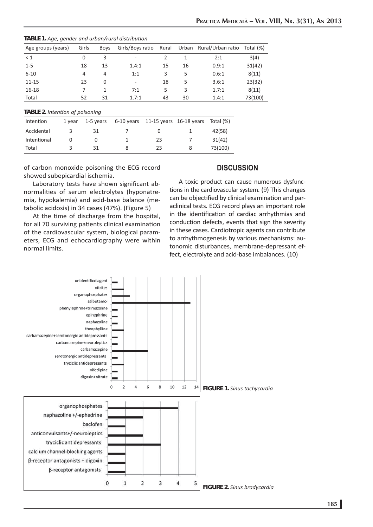| TABLE 1. Age, gender and urban/rural distribution |  |  |
|---------------------------------------------------|--|--|
|---------------------------------------------------|--|--|

| Age groups (years) | Girls | Boys | Girls/Boys ratio | Rural |    | Urban Rural/Urban ratio Total (%) |         |
|--------------------|-------|------|------------------|-------|----|-----------------------------------|---------|
| $\leq 1$           | 0     | 3    | ۰                | 2     |    | 2:1                               | 3(4)    |
| $1 - 5$            | 18    | 13   | 1.4:1            | 15    | 16 | 0.9:1                             | 31(42)  |
| $6 - 10$           | 4     | 4    | 1:1              | 3     | 5  | 0.6:1                             | 8(11)   |
| $11 - 15$          | 23    | 0    | ۰                | 18    | 5  | 3.6:1                             | 23(32)  |
| $16 - 18$          |       |      | 7:1              | 5     | 3  | 1.7:1                             | 8(11)   |
| Total              | 52    | 31   | 1.7:1            | 43    | 30 | 1.4:1                             | 73(100) |

#### *TABLE 2. Intenti on of poisoning*

| Intention   | 1 vear | 1-5 years | $6-10$ years 11-15 years 16-18 years Total $%$ |         |
|-------------|--------|-----------|------------------------------------------------|---------|
| Accidental  |        | 31        |                                                | 42(58)  |
| Intentional |        |           | 23                                             | 31(42)  |
| Total       |        | 31        | 23                                             | 73(100) |

of carbon monoxide poisoning the ECG record showed subepicardial ischemia.

## **DISCUSSION**

Laboratory tests have shown significant abnormalities of serum electrolytes (hyponatremia, hypokalemia) and acid-base balance (metabolic acidosis) in 34 cases (47%). (Figure 5)

At the time of discharge from the hospital, for all 70 surviving patients clinical examination of the cardiovascular system, biological parameters, ECG and echocardiography were within normal limits.

A toxic product can cause numerous dysfunctions in the cardiovascular system. (9) This changes can be objectified by clinical examination and paraclinical tests. ECG record plays an important role in the identification of cardiac arrhythmias and conduction defects, events that sign the severity in these cases. Cardiotropic agents can contribute to arrhythmogenesis by various mechanisms: autonomic disturbances, membrane-depressant effect, electrolyte and acid-base imbalances. (10)

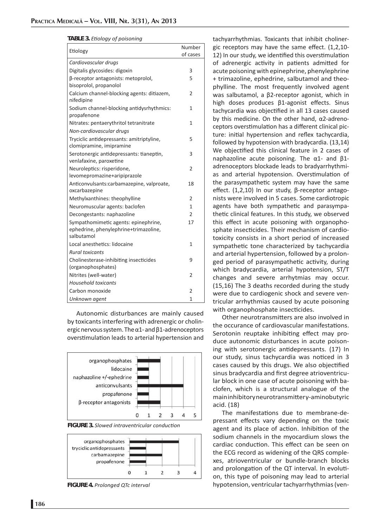#### *TABLE 3. Eti ology of poisoning*

| Etiology                                                                                    | Number<br>of cases |
|---------------------------------------------------------------------------------------------|--------------------|
| Cardiovascular drugs                                                                        |                    |
| Digitalis glycosides: digoxin                                                               | 3                  |
| β-receptor antagonists: metoprolol,<br>bisoprolol, propanolol                               | 5                  |
| Calcium channel-blocking agents: ditiazem,<br>nifedipine                                    | $\overline{2}$     |
| Sodium channel-blocking antidysrhythmics:<br>propafenone                                    | 1                  |
| Nitrates: pentaerythritol tetranitrate                                                      | 1                  |
| Non-cardiovascular drugs                                                                    |                    |
| Tryciclic antidepressants: amitriptyline,<br>clomipramine, imipramine                       | 5                  |
| Serotonergic antidepressants: tianeptin,<br>venlafaxine, paroxetine                         | 3                  |
| Neuroleptics: risperidone,<br>levomepromazine+aripiprazole                                  | $\overline{2}$     |
| Anticonvulsants:carbamazepine, valproate,<br>oxcarbazepine                                  | 18                 |
| Methylxanthines: theophylline                                                               | 2                  |
| Neuromuscular agents: baclofen                                                              | 1                  |
| Decongestants: naphazoline                                                                  | $\overline{2}$     |
| Sympathomimetic agents: epinephrine,<br>ephedrine, phenylephrine+trimazoline,<br>salbutamol | 17                 |
| Local anesthetics: lidocaine                                                                | 1                  |
| <b>Rural toxicants</b>                                                                      |                    |
| Cholinesterase-inhibiting insecticides<br>(organophosphates)                                | 9                  |
| Nitrites (well-water)                                                                       | $\overline{2}$     |
| <b>Household toxicants</b>                                                                  |                    |
| Carbon monoxide                                                                             | 2                  |
| Unknown agent                                                                               | $\mathbf{1}$       |

Autonomic disturbances are mainly caused by toxicants interfering with adrenergic or cholinergic nervous system. The  $\alpha$ 1- and  $\beta$ 1-adrenoceptors overstimulation leads to arterial hypertension and



*FIGURE 3. Slowed intraventricular conduction* 



*FIGURE 4. Prolonged QTc interval* 

tachyarrhythmias. Toxicants that inhibit cholinergic receptors may have the same effect.  $(1,2,10$ -12) In our study, we identified this overstimulation of adrenergic activity in patients admitted for acute poisoning with epinephrine, phenylephrine + trimazoline, ephedrine, salbutamol and theophylline. The most frequently involved agent was salbutamol, a β2-receptor agonist, which in high doses produces β1-agonist effects. Sinus tachycardia was objectified in all 13 cases caused by this medicine. On the other hand, α2-adrenoceptors overstimulation has a different clinical picture: initial hypertension and reflex tachycardia, followed by hypotension with bradycardia. (13,14) We objectified this clinical feature in 2 cases of naphazoline acute poisoning. The α1- and β1 adrenoceptors blockade leads to bradyarrhythmias and arterial hypotension. Overstimulation of the parasympathetic system may have the same effect. (1,2,10) In our study, β-receptor antagonists were involved in 5 cases. Some cardiotropic agents have both sympathetic and parasympathetic clinical features. In this study, we observed this effect in acute poisoning with organophosphate insecticides. Their mechanism of cardiotoxicity consists in a short period of increased sympathetic tone characterized by tachycardia and arterial hypertension, followed by a prolonged period of parasympathetic activity, during which bradycardia, arterial hypotension, ST/T changes and severe arrhytmias may occur. (15,16) The 3 deaths recorded during the study were due to cardiogenic shock and severe ventricular arrhythmias caused by acute poisoning with organophosphate insecticides.

Other neurotransmitters are also involved in the occurance of cardiovascular manifestations. Serotonin reuptake inhibiting effect may produce autonomic disturbances in acute poisoning with serotonergic antidepressants. (17) In our study, sinus tachycardia was noticed in 3 cases caused by this drugs. We also objectified sinus bradycardia and first degree atrioventricular block in one case of acute poisoning with baclofen, which is a structural analogue of the main inhibitor y neurotransmitter γ-aminobutyric acid. (18)

The manifestations due to membrane-depressant effects vary depending on the toxic agent and its place of action. Inhibition of the sodium channels in the myocardium slows the cardiac conduction. This effect can be seen on the ECG record as widening of the QRS complexes, atrioventricular or bundle-branch blocks and prolongation of the QT interval. In evolution, this type of poisoning may lead to arterial hypotension, ventricular tachyarrhythmias (ven-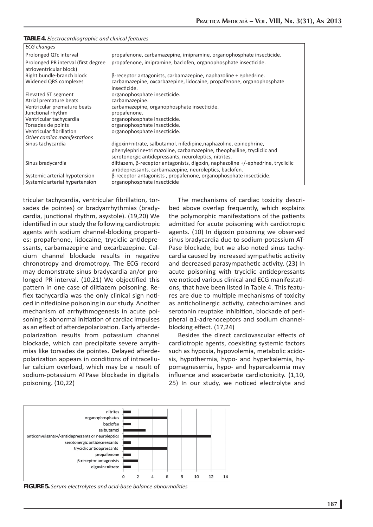| <b>ECG</b> changes                                                             |                                                                                                                                                                                                       |
|--------------------------------------------------------------------------------|-------------------------------------------------------------------------------------------------------------------------------------------------------------------------------------------------------|
| Prolonged QTc interval                                                         | propafenone, carbamazepine, imipramine, organophosphate insecticide.                                                                                                                                  |
| Prolonged PR interval (first degree<br>atrioventricular block)                 | propafenone, imipramine, baclofen, organophosphate insecticide.                                                                                                                                       |
| Right bundle-branch block<br>Widened QRS complexes                             | $\beta$ -receptor antagonists, carbamazepine, naphazoline + ephedrine.<br>carbamazepine, oxcarbazepine, lidocaine, propafenone, organophosphate<br>insecticide.                                       |
| Elevated ST segment<br>Atrial premature beats                                  | organophosphate insecticide.<br>carbamazepine.                                                                                                                                                        |
| Ventricular premature beats<br>Junctional rhythm                               | carbamazepine, organophosphate insecticide.<br>propafenone.                                                                                                                                           |
| Ventricular tachycardia                                                        | organophosphate insecticide.                                                                                                                                                                          |
| Torsades de points<br>Ventricular fibrillation<br>Other cardiac manifestations | organophosphate insecticide.<br>organophosphate insecticide.                                                                                                                                          |
| Sinus tachycardia                                                              | digoxin+nitrate, salbutamol, nifedipine, naphazoline, epinephrine,<br>phenylephrine+trimazoline, carbamazepine, theophylline, trycliclic and<br>serotonergic antidepressants, neuroleptics, nitrites. |
| Sinus bradycardia                                                              | diltiazem, $\beta$ -receptor antagonists, digoxin, naphazoline +/-ephedrine, trycliclic<br>antidepressants, carbamazepine, neuroleptics, baclofen.                                                    |
| Systemic arterial hypotension<br>Systemic arterial hypertension                | β-receptor antagonists, propafenone, organophosphate insecticide.<br>organophosphate insecticide                                                                                                      |
|                                                                                |                                                                                                                                                                                                       |

tricular tachycardia, ventricular fibrillation, torsades de pointes) or bradyarrhythmias (bradycardia, junctional rhythm, asystole). (19,20) We identified in our study the following cardiotropic agents with sodium channel-blocking properties: propafenone, lidocaine, tryciclic antidepressants, carbamazepine and oxcarbazepine. Calcium channel blockade results in negative chronotropy and dromotropy. The ECG record may demonstrate sinus bradycardia an/or prolonged PR interval. (10,21) We objectified this pattern in one case of diltiazem poisoning. Reflex tachycardia was the only clinical sign noticed in nifedipine poisoning in our study. Another mechanism of arrhythmogenesis in acute poisoning is abnormal initiation of cardiac impulses as an effect of afterdepolarization. Early afterdepolarization results from potassium channel blockade, which can precipitate severe arrythmias like torsades de pointes. Delayed afterdepolarization appears in conditions of intracellular calcium overload, which may be a result of sodium-potassium ATPase blockade in digitalis poisoning. (10,22)

The mechanisms of cardiac toxicity described above overlap frequently, which explains the polymorphic manifestations of the patients admitted for acute poisoning with cardiotropic agents. (10) In digoxin poisoning we observed sinus bradycardia due to sodium-potassium AT-Pase blockade, but we also noted sinus tachycardia caused by increased sympathetic activity and decreased parasympathetic activity. (23) In acute poisoning with tryciclic antidepressants we noticed various clinical and ECG manifestations, that have been listed in Table 4. This features are due to multiple mechanisms of toxicity as anticholinergic activity, catecholamines and serotonin reuptake inhibition, blockade of peripheral α1-adrenoceptors and sodium channelblocking effect. (17,24)

Besides the direct cardiovascular effects of cardiotropic agents, coexisting systemic factors such as hypoxia, hypovolemia, metabolic acidosis, hypothermia, hypo- and hyperkalemia, hypomagnesemia, hypo- and hypercalcemia may influence and exacerbate cardiotoxicity. (1,10, 25) In our study, we noticed electrolyte and



*FIGURE 5. Serum electrolytes and acid-base balance abnormaliti es*